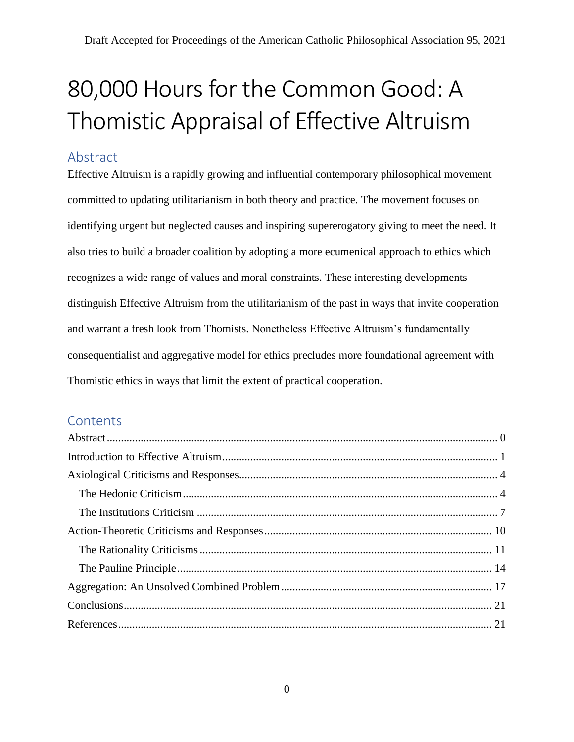# 80,000 Hours for the Common Good: A Thomistic Appraisal of Effective Altruism

## <span id="page-0-0"></span>Abstract

Effective Altruism is a rapidly growing and influential contemporary philosophical movement committed to updating utilitarianism in both theory and practice. The movement focuses on identifying urgent but neglected causes and inspiring supererogatory giving to meet the need. It also tries to build a broader coalition by adopting a more ecumenical approach to ethics which recognizes a wide range of values and moral constraints. These interesting developments distinguish Effective Altruism from the utilitarianism of the past in ways that invite cooperation and warrant a fresh look from Thomists. Nonetheless Effective Altruism's fundamentally consequentialist and aggregative model for ethics precludes more foundational agreement with Thomistic ethics in ways that limit the extent of practical cooperation.

# **Contents**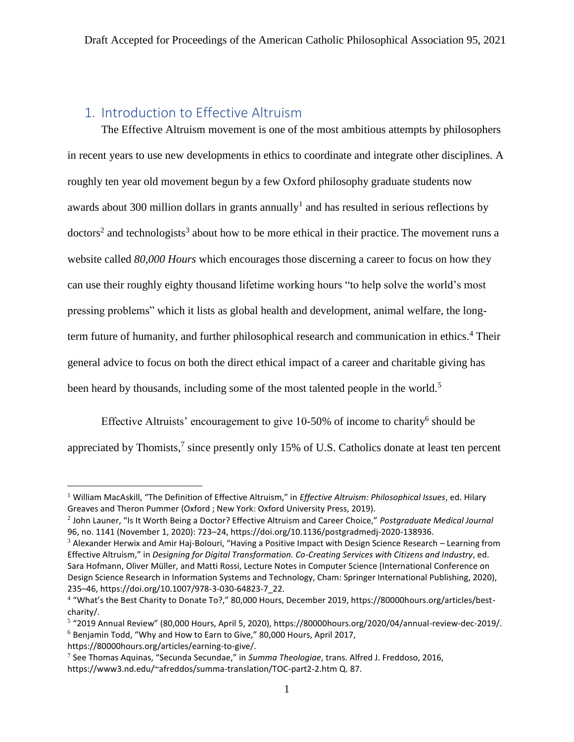# <span id="page-1-0"></span>1. Introduction to Effective Altruism

The Effective Altruism movement is one of the most ambitious attempts by philosophers in recent years to use new developments in ethics to coordinate and integrate other disciplines. A roughly ten year old movement begun by a few Oxford philosophy graduate students now awards about 300 million dollars in grants annually<sup>1</sup> and has resulted in serious reflections by  $dotors<sup>2</sup>$  and technologists<sup>3</sup> about how to be more ethical in their practice. The movement runs a website called *80,000 Hours* which encourages those discerning a career to focus on how they can use their roughly eighty thousand lifetime working hours "to help solve the world's most pressing problems" which it lists as global health and development, animal welfare, the longterm future of humanity, and further philosophical research and communication in ethics.<sup>4</sup> Their general advice to focus on both the direct ethical impact of a career and charitable giving has been heard by thousands, including some of the most talented people in the world.<sup>5</sup>

Effective Altruists' encouragement to give  $10-50\%$  of income to charity<sup>6</sup> should be appreciated by Thomists,<sup>7</sup> since presently only 15% of U.S. Catholics donate at least ten percent

https://80000hours.org/articles/earning-to-give/.

<sup>1</sup> William MacAskill, "The Definition of Effective Altruism," in *Effective Altruism: Philosophical Issues*, ed. Hilary Greaves and Theron Pummer (Oxford ; New York: Oxford University Press, 2019).

<sup>2</sup> John Launer, "Is It Worth Being a Doctor? Effective Altruism and Career Choice," *Postgraduate Medical Journal* 96, no. 1141 (November 1, 2020): 723–24, https://doi.org/10.1136/postgradmedj-2020-138936.

 $3$  Alexander Herwix and Amir Haj-Bolouri, "Having a Positive Impact with Design Science Research – Learning from Effective Altruism," in *Designing for Digital Transformation. Co-Creating Services with Citizens and Industry*, ed. Sara Hofmann, Oliver Müller, and Matti Rossi, Lecture Notes in Computer Science (International Conference on Design Science Research in Information Systems and Technology, Cham: Springer International Publishing, 2020), 235–46, https://doi.org/10.1007/978-3-030-64823-7\_22.

<sup>4</sup> "What's the Best Charity to Donate To?," 80,000 Hours, December 2019, https://80000hours.org/articles/bestcharity/.

<sup>&</sup>lt;sup>5</sup> "2019 Annual Review" (80,000 Hours, April 5, 2020), https://80000hours.org/2020/04/annual-review-dec-2019/. <sup>6</sup> Benjamin Todd, "Why and How to Earn to Give," 80,000 Hours, April 2017,

<sup>7</sup> See Thomas Aquinas, "Secunda Secundae," in *Summa Theologiae*, trans. Alfred J. Freddoso, 2016, https://www3.nd.edu/~afreddos/summa-translation/TOC-part2-2.htm Q. 87.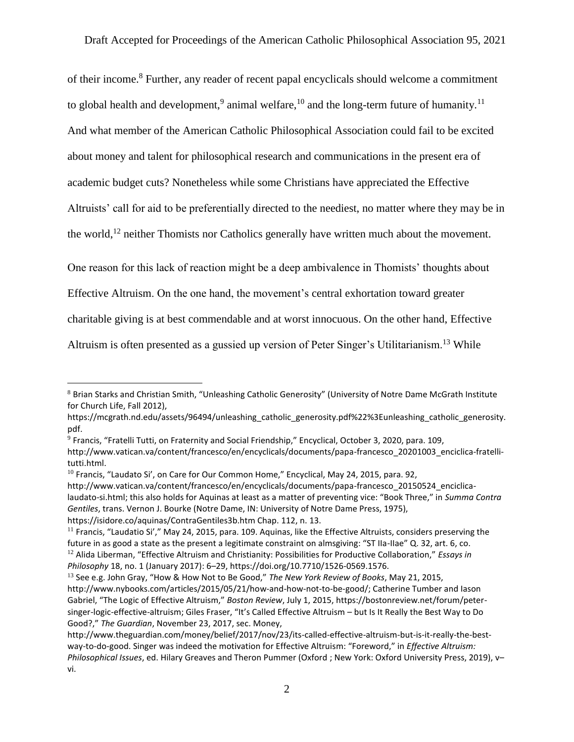of their income.<sup>8</sup> Further, any reader of recent papal encyclicals should welcome a commitment to global health and development,<sup>9</sup> animal welfare,<sup>10</sup> and the long-term future of humanity.<sup>11</sup> And what member of the American Catholic Philosophical Association could fail to be excited about money and talent for philosophical research and communications in the present era of academic budget cuts? Nonetheless while some Christians have appreciated the Effective Altruists' call for aid to be preferentially directed to the neediest, no matter where they may be in the world,<sup>12</sup> neither Thomists nor Catholics generally have written much about the movement.

One reason for this lack of reaction might be a deep ambivalence in Thomists' thoughts about

Effective Altruism. On the one hand, the movement's central exhortation toward greater

charitable giving is at best commendable and at worst innocuous. On the other hand, Effective

Altruism is often presented as a gussied up version of Peter Singer's Utilitarianism.<sup>13</sup> While

<sup>8</sup> Brian Starks and Christian Smith, "Unleashing Catholic Generosity" (University of Notre Dame McGrath Institute for Church Life, Fall 2012),

https://mcgrath.nd.edu/assets/96494/unleashing\_catholic\_generosity.pdf%22%3Eunleashing\_catholic\_generosity. pdf.

<sup>9</sup> Francis, "Fratelli Tutti, on Fraternity and Social Friendship," Encyclical, October 3, 2020, para. 109, http://www.vatican.va/content/francesco/en/encyclicals/documents/papa-francesco\_20201003\_enciclica-fratellitutti.html.

 $10$  Francis, "Laudato Si', on Care for Our Common Home," Encyclical, May 24, 2015, para. 92,

http://www.vatican.va/content/francesco/en/encyclicals/documents/papa-francesco\_20150524\_enciclicalaudato-si.html; this also holds for Aquinas at least as a matter of preventing vice: "Book Three," in *Summa Contra Gentiles*, trans. Vernon J. Bourke (Notre Dame, IN: University of Notre Dame Press, 1975), https://isidore.co/aquinas/ContraGentiles3b.htm Chap. 112, n. 13.

 $11$  Francis, "Laudatio Si'," May 24, 2015, para. 109. Aquinas, like the Effective Altruists, considers preserving the future in as good a state as the present a legitimate constraint on almsgiving: "ST IIa-IIae" Q. 32, art. 6, co. <sup>12</sup> Alida Liberman, "Effective Altruism and Christianity: Possibilities for Productive Collaboration," *Essays in Philosophy* 18, no. 1 (January 2017): 6–29, https://doi.org/10.7710/1526-0569.1576.

<sup>13</sup> See e.g. John Gray, "How & How Not to Be Good," *The New York Review of Books*, May 21, 2015, http://www.nybooks.com/articles/2015/05/21/how-and-how-not-to-be-good/; Catherine Tumber and Iason Gabriel, "The Logic of Effective Altruism," *Boston Review*, July 1, 2015, https://bostonreview.net/forum/petersinger-logic-effective-altruism; Giles Fraser, "It's Called Effective Altruism – but Is It Really the Best Way to Do Good?," *The Guardian*, November 23, 2017, sec. Money,

http://www.theguardian.com/money/belief/2017/nov/23/its-called-effective-altruism-but-is-it-really-the-bestway-to-do-good. Singer was indeed the motivation for Effective Altruism: "Foreword," in *Effective Altruism: Philosophical Issues*, ed. Hilary Greaves and Theron Pummer (Oxford ; New York: Oxford University Press, 2019), v– vi.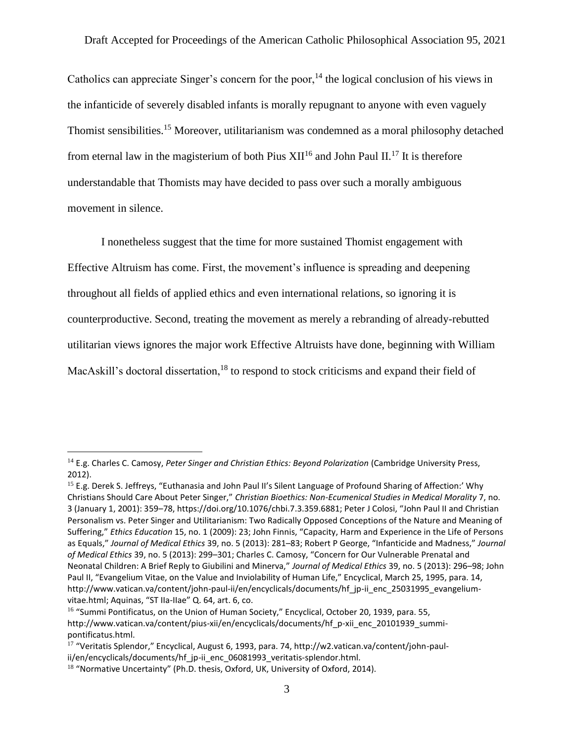Catholics can appreciate Singer's concern for the poor,<sup>14</sup> the logical conclusion of his views in the infanticide of severely disabled infants is morally repugnant to anyone with even vaguely Thomist sensibilities.<sup>15</sup> Moreover, utilitarianism was condemned as a moral philosophy detached from eternal law in the magisterium of both Pius  $XII^{16}$  and John Paul II.<sup>17</sup> It is therefore understandable that Thomists may have decided to pass over such a morally ambiguous movement in silence.

I nonetheless suggest that the time for more sustained Thomist engagement with Effective Altruism has come. First, the movement's influence is spreading and deepening throughout all fields of applied ethics and even international relations, so ignoring it is counterproductive. Second, treating the movement as merely a rebranding of already-rebutted utilitarian views ignores the major work Effective Altruists have done, beginning with William MacAskill's doctoral dissertation, $18$  to respond to stock criticisms and expand their field of

<sup>14</sup> E.g. Charles C. Camosy, *Peter Singer and Christian Ethics: Beyond Polarization* (Cambridge University Press, 2012).

<sup>&</sup>lt;sup>15</sup> E.g. Derek S. Jeffreys, "Euthanasia and John Paul II's Silent Language of Profound Sharing of Affection:' Why Christians Should Care About Peter Singer," *Christian Bioethics: Non-Ecumenical Studies in Medical Morality* 7, no. 3 (January 1, 2001): 359–78, https://doi.org/10.1076/chbi.7.3.359.6881; Peter J Colosi, "John Paul II and Christian Personalism vs. Peter Singer and Utilitarianism: Two Radically Opposed Conceptions of the Nature and Meaning of Suffering," *Ethics Education* 15, no. 1 (2009): 23; John Finnis, "Capacity, Harm and Experience in the Life of Persons as Equals," *Journal of Medical Ethics* 39, no. 5 (2013): 281–83; Robert P George, "Infanticide and Madness," *Journal of Medical Ethics* 39, no. 5 (2013): 299–301; Charles C. Camosy, "Concern for Our Vulnerable Prenatal and Neonatal Children: A Brief Reply to Giubilini and Minerva," *Journal of Medical Ethics* 39, no. 5 (2013): 296–98; John Paul II, "Evangelium Vitae, on the Value and Inviolability of Human Life," Encyclical, March 25, 1995, para. 14, http://www.vatican.va/content/john-paul-ii/en/encyclicals/documents/hf\_jp-ii\_enc\_25031995\_evangeliumvitae.html; Aquinas, "ST IIa-IIae" Q. 64, art. 6, co.

<sup>&</sup>lt;sup>16</sup> "Summi Pontificatus, on the Union of Human Society," Encyclical, October 20, 1939, para. 55, http://www.vatican.va/content/pius-xii/en/encyclicals/documents/hf\_p-xii\_enc\_20101939\_summipontificatus.html.

<sup>17</sup> "Veritatis Splendor," Encyclical, August 6, 1993, para. 74, http://w2.vatican.va/content/john-paulii/en/encyclicals/documents/hf\_jp-ii\_enc\_06081993\_veritatis-splendor.html.

<sup>&</sup>lt;sup>18</sup> "Normative Uncertainty" (Ph.D. thesis, Oxford, UK, University of Oxford, 2014).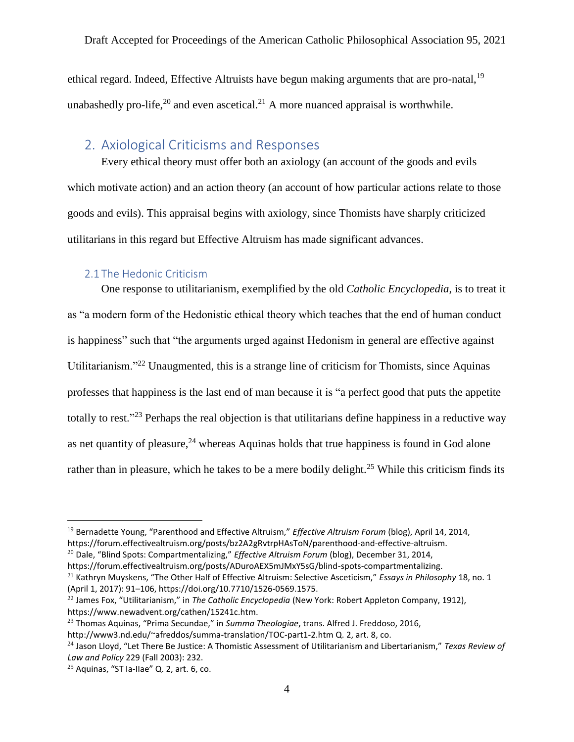ethical regard. Indeed, Effective Altruists have begun making arguments that are pro-natal,<sup>19</sup> unabashedly pro-life, $^{20}$  and even ascetical.<sup>21</sup> A more nuanced appraisal is worthwhile.

## <span id="page-4-0"></span>2. Axiological Criticisms and Responses

Every ethical theory must offer both an axiology (an account of the goods and evils which motivate action) and an action theory (an account of how particular actions relate to those goods and evils). This appraisal begins with axiology, since Thomists have sharply criticized utilitarians in this regard but Effective Altruism has made significant advances.

#### 2.1 The Hedonic Criticism

<span id="page-4-1"></span>One response to utilitarianism, exemplified by the old *Catholic Encyclopedia*, is to treat it as "a modern form of the Hedonistic ethical theory which teaches that the end of human conduct is happiness" such that "the arguments urged against Hedonism in general are effective against Utilitarianism."<sup>22</sup> Unaugmented, this is a strange line of criticism for Thomists, since Aquinas professes that happiness is the last end of man because it is "a perfect good that puts the appetite totally to rest."<sup>23</sup> Perhaps the real objection is that utilitarians define happiness in a reductive way as net quantity of pleasure,  $24$  whereas Aquinas holds that true happiness is found in God alone rather than in pleasure, which he takes to be a mere bodily delight.<sup>25</sup> While this criticism finds its

<sup>20</sup> Dale, "Blind Spots: Compartmentalizing," *Effective Altruism Forum* (blog), December 31, 2014, https://forum.effectivealtruism.org/posts/ADuroAEX5mJMxY5sG/blind-spots-compartmentalizing.

<sup>21</sup> Kathryn Muyskens, "The Other Half of Effective Altruism: Selective Asceticism," *Essays in Philosophy* 18, no. 1 (April 1, 2017): 91–106, https://doi.org/10.7710/1526-0569.1575.

<sup>19</sup> Bernadette Young, "Parenthood and Effective Altruism," *Effective Altruism Forum* (blog), April 14, 2014, https://forum.effectivealtruism.org/posts/bz2A2gRvtrpHAsToN/parenthood-and-effective-altruism.

<sup>22</sup> James Fox, "Utilitarianism," in *The Catholic Encyclopedia* (New York: Robert Appleton Company, 1912), https://www.newadvent.org/cathen/15241c.htm.

<sup>23</sup> Thomas Aquinas, "Prima Secundae," in *Summa Theologiae*, trans. Alfred J. Freddoso, 2016,

http://www3.nd.edu/~afreddos/summa-translation/TOC-part1-2.htm Q. 2, art. 8, co.

<sup>24</sup> Jason Lloyd, "Let There Be Justice: A Thomistic Assessment of Utilitarianism and Libertarianism," *Texas Review of Law and Policy* 229 (Fall 2003): 232.

 $25$  Aquinas, "ST Ia-Ilae" Q. 2, art. 6, co.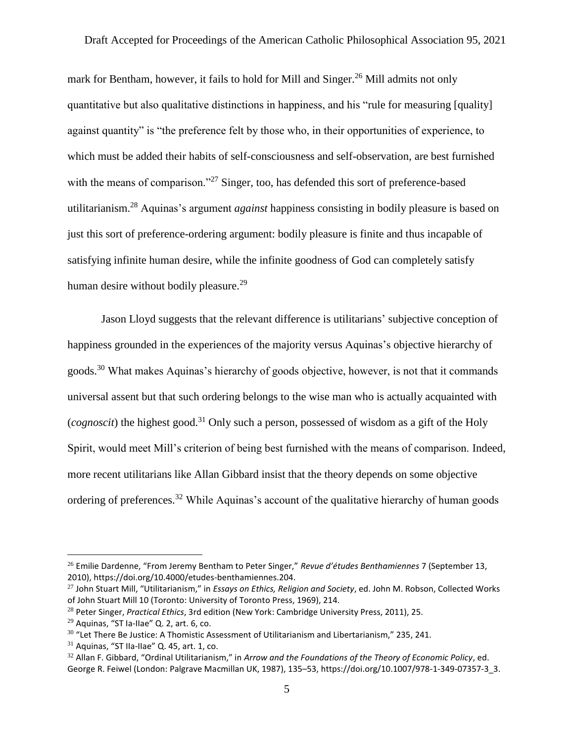mark for Bentham, however, it fails to hold for Mill and Singer.<sup>26</sup> Mill admits not only quantitative but also qualitative distinctions in happiness, and his "rule for measuring [quality] against quantity" is "the preference felt by those who, in their opportunities of experience, to which must be added their habits of self-consciousness and self-observation, are best furnished with the means of comparison."<sup>27</sup> Singer, too, has defended this sort of preference-based utilitarianism.<sup>28</sup> Aquinas's argument *against* happiness consisting in bodily pleasure is based on just this sort of preference-ordering argument: bodily pleasure is finite and thus incapable of satisfying infinite human desire, while the infinite goodness of God can completely satisfy human desire without bodily pleasure.<sup>29</sup>

Jason Lloyd suggests that the relevant difference is utilitarians' subjective conception of happiness grounded in the experiences of the majority versus Aquinas's objective hierarchy of goods.<sup>30</sup> What makes Aquinas's hierarchy of goods objective, however, is not that it commands universal assent but that such ordering belongs to the wise man who is actually acquainted with (*cognoscit*) the highest good.<sup>31</sup> Only such a person, possessed of wisdom as a gift of the Holy Spirit, would meet Mill's criterion of being best furnished with the means of comparison. Indeed, more recent utilitarians like Allan Gibbard insist that the theory depends on some objective ordering of preferences.<sup>32</sup> While Aquinas's account of the qualitative hierarchy of human goods

<sup>26</sup> Emilie Dardenne, "From Jeremy Bentham to Peter Singer," *Revue d'études Benthamiennes* 7 (September 13, 2010), https://doi.org/10.4000/etudes-benthamiennes.204.

<sup>27</sup> John Stuart Mill, "Utilitarianism," in *Essays on Ethics, Religion and Society*, ed. John M. Robson, Collected Works of John Stuart Mill 10 (Toronto: University of Toronto Press, 1969), 214.

<sup>28</sup> Peter Singer, *Practical Ethics*, 3rd edition (New York: Cambridge University Press, 2011), 25.

 $29$  Aquinas, "ST Ia-IIae" Q. 2, art. 6, co.

 $30$  "Let There Be Justice: A Thomistic Assessment of Utilitarianism and Libertarianism," 235, 241.

 $31$  Aquinas, "ST IIa-IIae" Q, 45, art. 1, co.

<sup>32</sup> Allan F. Gibbard, "Ordinal Utilitarianism," in *Arrow and the Foundations of the Theory of Economic Policy*, ed. George R. Feiwel (London: Palgrave Macmillan UK, 1987), 135–53, https://doi.org/10.1007/978-1-349-07357-3\_3.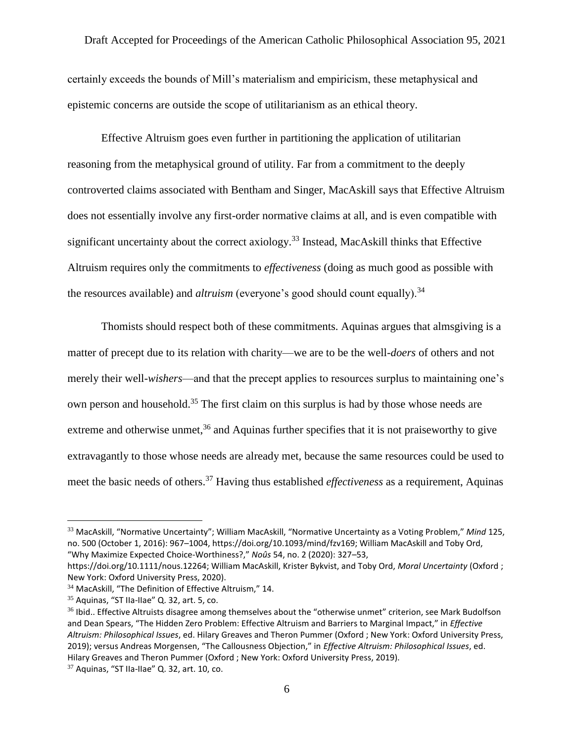certainly exceeds the bounds of Mill's materialism and empiricism, these metaphysical and epistemic concerns are outside the scope of utilitarianism as an ethical theory.

Effective Altruism goes even further in partitioning the application of utilitarian reasoning from the metaphysical ground of utility. Far from a commitment to the deeply controverted claims associated with Bentham and Singer, MacAskill says that Effective Altruism does not essentially involve any first-order normative claims at all, and is even compatible with significant uncertainty about the correct axiology.<sup>33</sup> Instead, MacAskill thinks that Effective Altruism requires only the commitments to *effectiveness* (doing as much good as possible with the resources available) and *altruism* (everyone's good should count equally).<sup>34</sup>

Thomists should respect both of these commitments. Aquinas argues that almsgiving is a matter of precept due to its relation with charity—we are to be the well-*doers* of others and not merely their well-*wishers*—and that the precept applies to resources surplus to maintaining one's own person and household.<sup>35</sup> The first claim on this surplus is had by those whose needs are extreme and otherwise unmet,  $36$  and Aquinas further specifies that it is not praiseworthy to give extravagantly to those whose needs are already met, because the same resources could be used to meet the basic needs of others.<sup>37</sup> Having thus established *effectiveness* as a requirement, Aquinas

<sup>33</sup> MacAskill, "Normative Uncertainty"; William MacAskill, "Normative Uncertainty as a Voting Problem," *Mind* 125, no. 500 (October 1, 2016): 967–1004, https://doi.org/10.1093/mind/fzv169; William MacAskill and Toby Ord, "Why Maximize Expected Choice-Worthiness?," *Noûs* 54, no. 2 (2020): 327–53,

https://doi.org/10.1111/nous.12264; William MacAskill, Krister Bykvist, and Toby Ord, *Moral Uncertainty* (Oxford ; New York: Oxford University Press, 2020).

<sup>34</sup> MacAskill, "The Definition of Effective Altruism," 14.

 $35$  Aquinas, "ST IIa-IIae" Q. 32, art. 5, co.

<sup>&</sup>lt;sup>36</sup> Ibid.. Effective Altruists disagree among themselves about the "otherwise unmet" criterion, see Mark Budolfson and Dean Spears, "The Hidden Zero Problem: Effective Altruism and Barriers to Marginal Impact," in *Effective Altruism: Philosophical Issues*, ed. Hilary Greaves and Theron Pummer (Oxford ; New York: Oxford University Press, 2019); versus Andreas Morgensen, "The Callousness Objection," in *Effective Altruism: Philosophical Issues*, ed. Hilary Greaves and Theron Pummer (Oxford ; New York: Oxford University Press, 2019).

 $37$  Aquinas, "ST IIa-IIae" Q. 32, art. 10, co.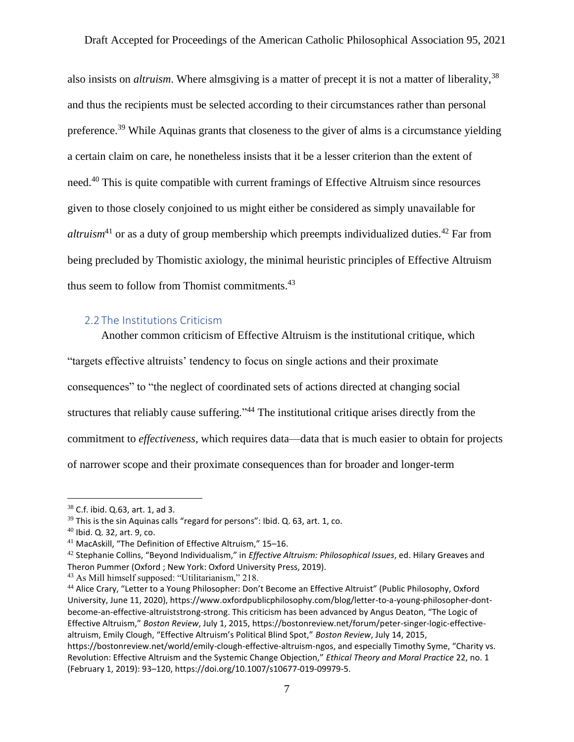also insists on *altruism*. Where almsgiving is a matter of precept it is not a matter of liberality,<sup>38</sup> and thus the recipients must be selected according to their circumstances rather than personal preference.<sup>39</sup> While Aquinas grants that closeness to the giver of alms is a circumstance yielding a certain claim on care, he nonetheless insists that it be a lesser criterion than the extent of need.<sup>40</sup> This is quite compatible with current framings of Effective Altruism since resources given to those closely conjoined to us might either be considered as simply unavailable for *altruism*<sup>41</sup> or as a duty of group membership which preempts individualized duties.<sup>42</sup> Far from being precluded by Thomistic axiology, the minimal heuristic principles of Effective Altruism thus seem to follow from Thomist commitments. $43$ 

#### <span id="page-7-0"></span>2.2 The Institutions Criticism

Another common criticism of Effective Altruism is the institutional critique, which

"targets effective altruists' tendency to focus on single actions and their proximate

consequences" to "the neglect of coordinated sets of actions directed at changing social

structures that reliably cause suffering."<sup>44</sup> The institutional critique arises directly from the

commitment to *effectiveness*, which requires data—data that is much easier to obtain for projects

of narrower scope and their proximate consequences than for broader and longer-term

<sup>38</sup> C.f. ibid. Q.63, art. 1, ad 3.

 $39$  This is the sin Aquinas calls "regard for persons": Ibid. Q. 63, art. 1, co.

<sup>40</sup> Ibid. Q. 32, art. 9, co.

<sup>41</sup> MacAskill, "The Definition of Effective Altruism," 15–16.

<sup>42</sup> Stephanie Collins, "Beyond Individualism," in *Effective Altruism: Philosophical Issues*, ed. Hilary Greaves and Theron Pummer (Oxford ; New York: Oxford University Press, 2019).

<sup>43</sup> As Mill himself supposed: "Utilitarianism," 218.

<sup>44</sup> Alice Crary, "Letter to a Young Philosopher: Don't Become an Effective Altruist" (Public Philosophy, Oxford University, June 11, 2020), https://www.oxfordpublicphilosophy.com/blog/letter-to-a-young-philosopher-dontbecome-an-effective-altruiststrong-strong. This criticism has been advanced by Angus Deaton, "The Logic of Effective Altruism," *Boston Review*, July 1, 2015, https://bostonreview.net/forum/peter-singer-logic-effectivealtruism, Emily Clough, "Effective Altruism's Political Blind Spot," *Boston Review*, July 14, 2015, https://bostonreview.net/world/emily-clough-effective-altruism-ngos, and especially Timothy Syme, "Charity vs. Revolution: Effective Altruism and the Systemic Change Objection," *Ethical Theory and Moral Practice* 22, no. 1 (February 1, 2019): 93–120, https://doi.org/10.1007/s10677-019-09979-5.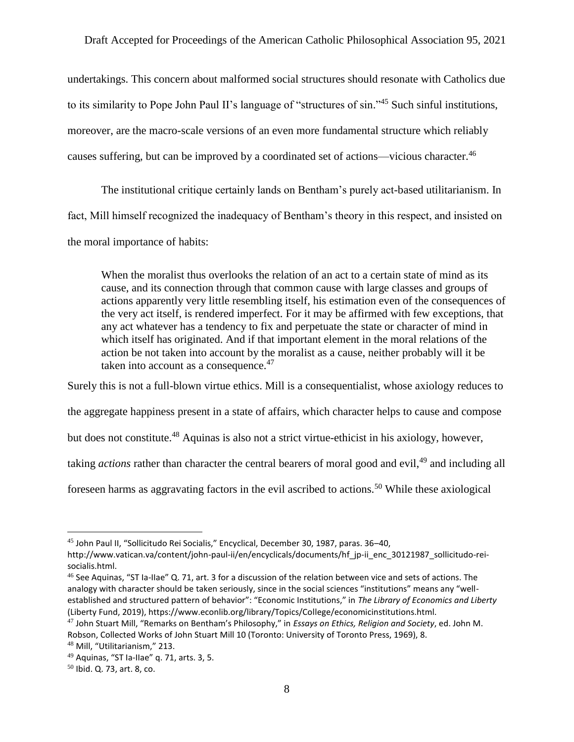undertakings. This concern about malformed social structures should resonate with Catholics due to its similarity to Pope John Paul II's language of "structures of sin."<sup>45</sup> Such sinful institutions, moreover, are the macro-scale versions of an even more fundamental structure which reliably causes suffering, but can be improved by a coordinated set of actions—vicious character.<sup>46</sup>

The institutional critique certainly lands on Bentham's purely act-based utilitarianism. In fact, Mill himself recognized the inadequacy of Bentham's theory in this respect, and insisted on the moral importance of habits:

When the moralist thus overlooks the relation of an act to a certain state of mind as its cause, and its connection through that common cause with large classes and groups of actions apparently very little resembling itself, his estimation even of the consequences of the very act itself, is rendered imperfect. For it may be affirmed with few exceptions, that any act whatever has a tendency to fix and perpetuate the state or character of mind in which itself has originated. And if that important element in the moral relations of the action be not taken into account by the moralist as a cause, neither probably will it be taken into account as a consequence. $47$ 

Surely this is not a full-blown virtue ethics. Mill is a consequentialist, whose axiology reduces to

the aggregate happiness present in a state of affairs, which character helps to cause and compose

but does not constitute.<sup>48</sup> Aquinas is also not a strict virtue-ethicist in his axiology, however,

taking *actions* rather than character the central bearers of moral good and evil,<sup>49</sup> and including all

foreseen harms as aggravating factors in the evil ascribed to actions.<sup>50</sup> While these axiological

<sup>45</sup> John Paul II, "Sollicitudo Rei Socialis," Encyclical, December 30, 1987, paras. 36–40,

http://www.vatican.va/content/john-paul-ii/en/encyclicals/documents/hf\_jp-ii\_enc\_30121987\_sollicitudo-reisocialis.html.

<sup>46</sup> See Aquinas, "ST Ia-IIae" Q. 71, art. 3 for a discussion of the relation between vice and sets of actions. The analogy with character should be taken seriously, since in the social sciences "institutions" means any "wellestablished and structured pattern of behavior": "Economic Institutions," in *The Library of Economics and Liberty* (Liberty Fund, 2019), https://www.econlib.org/library/Topics/College/economicinstitutions.html.

<sup>47</sup> John Stuart Mill, "Remarks on Bentham's Philosophy," in *Essays on Ethics, Religion and Society*, ed. John M. Robson, Collected Works of John Stuart Mill 10 (Toronto: University of Toronto Press, 1969), 8.

<sup>48</sup> Mill, "Utilitarianism," 213.

 $49$  Aquinas, "ST Ia-IIae" q. 71, arts. 3, 5.

<sup>50</sup> Ibid. Q. 73, art. 8, co.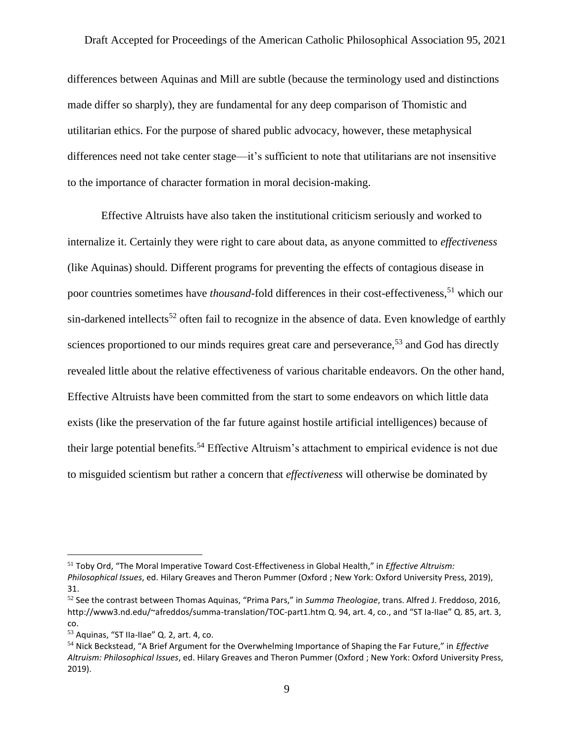differences between Aquinas and Mill are subtle (because the terminology used and distinctions made differ so sharply), they are fundamental for any deep comparison of Thomistic and utilitarian ethics. For the purpose of shared public advocacy, however, these metaphysical differences need not take center stage—it's sufficient to note that utilitarians are not insensitive to the importance of character formation in moral decision-making.

Effective Altruists have also taken the institutional criticism seriously and worked to internalize it. Certainly they were right to care about data, as anyone committed to *effectiveness* (like Aquinas) should. Different programs for preventing the effects of contagious disease in poor countries sometimes have *thousand*-fold differences in their cost-effectiveness,<sup>51</sup> which our sin-darkened intellects<sup>52</sup> often fail to recognize in the absence of data. Even knowledge of earthly sciences proportioned to our minds requires great care and perseverance,<sup>53</sup> and God has directly revealed little about the relative effectiveness of various charitable endeavors. On the other hand, Effective Altruists have been committed from the start to some endeavors on which little data exists (like the preservation of the far future against hostile artificial intelligences) because of their large potential benefits.<sup>54</sup> Effective Altruism's attachment to empirical evidence is not due to misguided scientism but rather a concern that *effectiveness* will otherwise be dominated by

<sup>51</sup> Toby Ord, "The Moral Imperative Toward Cost-Effectiveness in Global Health," in *Effective Altruism: Philosophical Issues*, ed. Hilary Greaves and Theron Pummer (Oxford ; New York: Oxford University Press, 2019), 31.

<sup>52</sup> See the contrast between Thomas Aquinas, "Prima Pars," in *Summa Theologiae*, trans. Alfred J. Freddoso, 2016, http://www3.nd.edu/~afreddos/summa-translation/TOC-part1.htm Q. 94, art. 4, co., and "ST Ia-IIae" Q. 85, art. 3, co.

<sup>53</sup> Aquinas, "ST IIa-IIae" Q. 2, art. 4, co.

<sup>54</sup> Nick Beckstead, "A Brief Argument for the Overwhelming Importance of Shaping the Far Future," in *Effective Altruism: Philosophical Issues*, ed. Hilary Greaves and Theron Pummer (Oxford ; New York: Oxford University Press, 2019).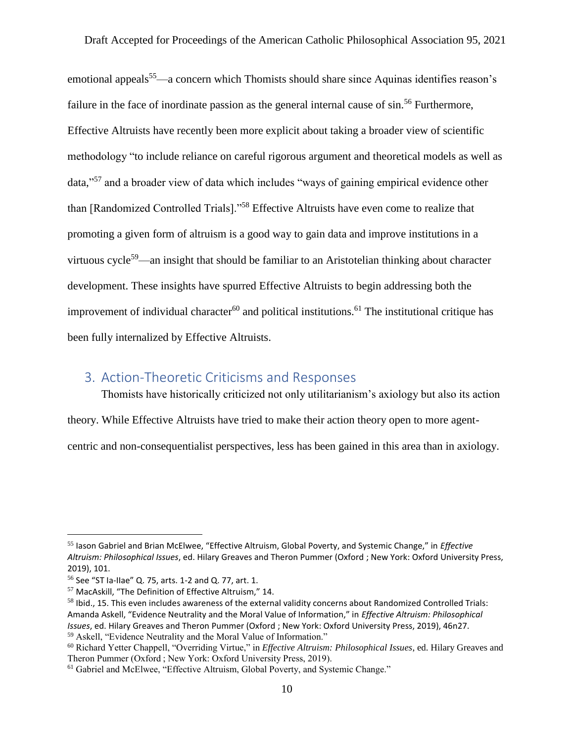emotional appeals<sup>55</sup>—a concern which Thomists should share since Aquinas identifies reason's failure in the face of inordinate passion as the general internal cause of sin.<sup>56</sup> Furthermore, Effective Altruists have recently been more explicit about taking a broader view of scientific methodology "to include reliance on careful rigorous argument and theoretical models as well as data,"<sup>57</sup> and a broader view of data which includes "ways of gaining empirical evidence other than [Randomized Controlled Trials]."<sup>58</sup> Effective Altruists have even come to realize that promoting a given form of altruism is a good way to gain data and improve institutions in a virtuous cycle<sup>59</sup>—an insight that should be familiar to an Aristotelian thinking about character development. These insights have spurred Effective Altruists to begin addressing both the improvement of individual character<sup>60</sup> and political institutions.<sup>61</sup> The institutional critique has been fully internalized by Effective Altruists.

## <span id="page-10-0"></span>3. Action-Theoretic Criticisms and Responses

Thomists have historically criticized not only utilitarianism's axiology but also its action

theory. While Effective Altruists have tried to make their action theory open to more agent-

centric and non-consequentialist perspectives, less has been gained in this area than in axiology.

<sup>55</sup> Iason Gabriel and Brian McElwee, "Effective Altruism, Global Poverty, and Systemic Change," in *Effective Altruism: Philosophical Issues*, ed. Hilary Greaves and Theron Pummer (Oxford ; New York: Oxford University Press, 2019), 101.

<sup>56</sup> See "ST Ia-IIae" Q. 75, arts. 1-2 and Q. 77, art. 1.

<sup>57</sup> MacAskill, "The Definition of Effective Altruism," 14.

<sup>&</sup>lt;sup>58</sup> Ibid., 15. This even includes awareness of the external validity concerns about Randomized Controlled Trials: Amanda Askell, "Evidence Neutrality and the Moral Value of Information," in *Effective Altruism: Philosophical Issues*, ed. Hilary Greaves and Theron Pummer (Oxford ; New York: Oxford University Press, 2019), 46n27. <sup>59</sup> Askell, "Evidence Neutrality and the Moral Value of Information."

<sup>60</sup> Richard Yetter Chappell, "Overriding Virtue," in *Effective Altruism: Philosophical Issues*, ed. Hilary Greaves and Theron Pummer (Oxford ; New York: Oxford University Press, 2019).

<sup>&</sup>lt;sup>61</sup> Gabriel and McElwee, "Effective Altruism, Global Poverty, and Systemic Change."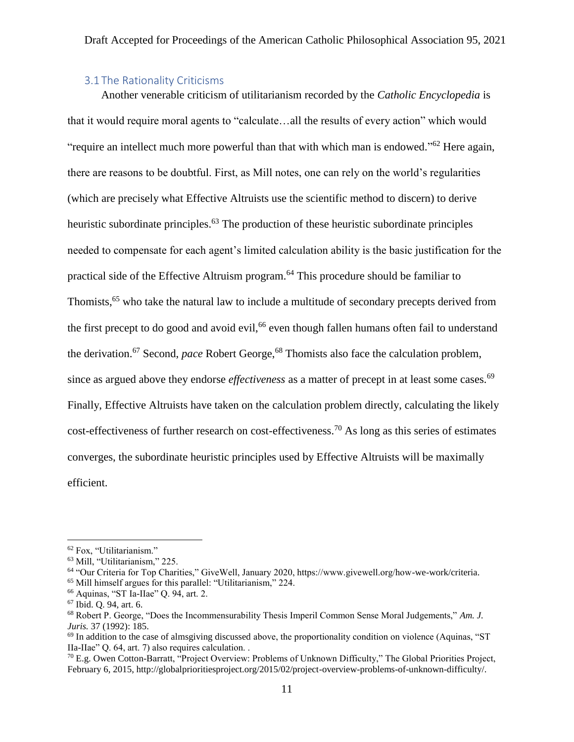#### 3.1 The Rationality Criticisms

<span id="page-11-0"></span>Another venerable criticism of utilitarianism recorded by the *Catholic Encyclopedia* is that it would require moral agents to "calculate…all the results of every action" which would "require an intellect much more powerful than that with which man is endowed."<sup>62</sup> Here again, there are reasons to be doubtful. First, as Mill notes, one can rely on the world's regularities (which are precisely what Effective Altruists use the scientific method to discern) to derive heuristic subordinate principles.<sup>63</sup> The production of these heuristic subordinate principles needed to compensate for each agent's limited calculation ability is the basic justification for the practical side of the Effective Altruism program.<sup>64</sup> This procedure should be familiar to Thomists,<sup>65</sup> who take the natural law to include a multitude of secondary precepts derived from the first precept to do good and avoid evil,<sup>66</sup> even though fallen humans often fail to understand the derivation.<sup>67</sup> Second, *pace* Robert George,<sup>68</sup> Thomists also face the calculation problem, since as argued above they endorse *effectiveness* as a matter of precept in at least some cases.<sup>69</sup> Finally, Effective Altruists have taken on the calculation problem directly, calculating the likely cost-effectiveness of further research on cost-effectiveness.<sup>70</sup> As long as this series of estimates converges, the subordinate heuristic principles used by Effective Altruists will be maximally efficient.

 $\overline{a}$ 

<sup>65</sup> Mill himself argues for this parallel: "Utilitarianism," 224.

<sup>62</sup> Fox, "Utilitarianism."

<sup>63</sup> Mill, "Utilitarianism," 225.

<sup>64</sup> "Our Criteria for Top Charities," GiveWell, January 2020, https://www.givewell.org/how-we-work/criteria.

<sup>66</sup> Aquinas, "ST Ia-IIae" Q. 94, art. 2.

<sup>67</sup> Ibid. Q. 94, art. 6.

<sup>68</sup> Robert P. George, "Does the Incommensurability Thesis Imperil Common Sense Moral Judgements," *Am. J. Juris.* 37 (1992): 185.

 $^{69}$  In addition to the case of almsgiving discussed above, the proportionality condition on violence (Aquinas, "ST) IIa-IIae" Q. 64, art. 7) also requires calculation. .

<sup>70</sup> E.g. Owen Cotton-Barratt, "Project Overview: Problems of Unknown Difficulty," The Global Priorities Project, February 6, 2015, http://globalprioritiesproject.org/2015/02/project-overview-problems-of-unknown-difficulty/.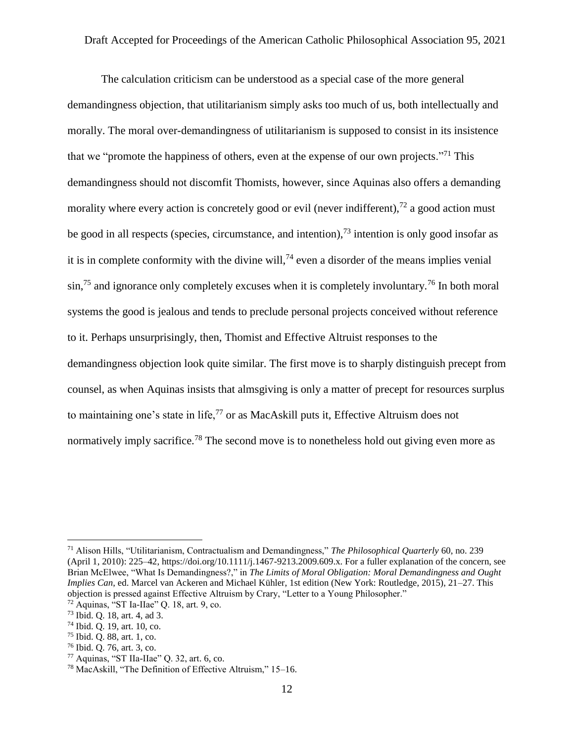The calculation criticism can be understood as a special case of the more general demandingness objection, that utilitarianism simply asks too much of us, both intellectually and morally. The moral over-demandingness of utilitarianism is supposed to consist in its insistence that we "promote the happiness of others, even at the expense of our own projects."<sup>71</sup> This demandingness should not discomfit Thomists, however, since Aquinas also offers a demanding morality where every action is concretely good or evil (never indifferent),<sup>72</sup> a good action must be good in all respects (species, circumstance, and intention),  $^{73}$  intention is only good insofar as it is in complete conformity with the divine will,  $^{74}$  even a disorder of the means implies venial  $\sin^{75}$  and ignorance only completely excuses when it is completely involuntary.<sup>76</sup> In both moral systems the good is jealous and tends to preclude personal projects conceived without reference to it. Perhaps unsurprisingly, then, Thomist and Effective Altruist responses to the demandingness objection look quite similar. The first move is to sharply distinguish precept from counsel, as when Aquinas insists that almsgiving is only a matter of precept for resources surplus to maintaining one's state in life,<sup>77</sup> or as MacAskill puts it, Effective Altruism does not normatively imply sacrifice.<sup>78</sup> The second move is to nonetheless hold out giving even more as

<sup>71</sup> Alison Hills, "Utilitarianism, Contractualism and Demandingness," *The Philosophical Quarterly* 60, no. 239 (April 1, 2010): 225–42, https://doi.org/10.1111/j.1467-9213.2009.609.x. For a fuller explanation of the concern, see Brian McElwee, "What Is Demandingness?," in *The Limits of Moral Obligation: Moral Demandingness and Ought Implies Can*, ed. Marcel van Ackeren and Michael Kühler, 1st edition (New York: Routledge, 2015), 21–27. This objection is pressed against Effective Altruism by Crary, "Letter to a Young Philosopher."

 $72$  Aquinas, "ST Ia-IIae" Q. 18, art. 9, co.

<sup>73</sup> Ibid. Q. 18, art. 4, ad 3.

<sup>74</sup> Ibid. Q. 19, art. 10, co.

<sup>75</sup> Ibid. Q. 88, art. 1, co.

<sup>76</sup> Ibid. Q. 76, art. 3, co.

 $77$  Aquinas, "ST IIa-IIae" Q. 32, art. 6, co.

<sup>78</sup> MacAskill, "The Definition of Effective Altruism," 15–16.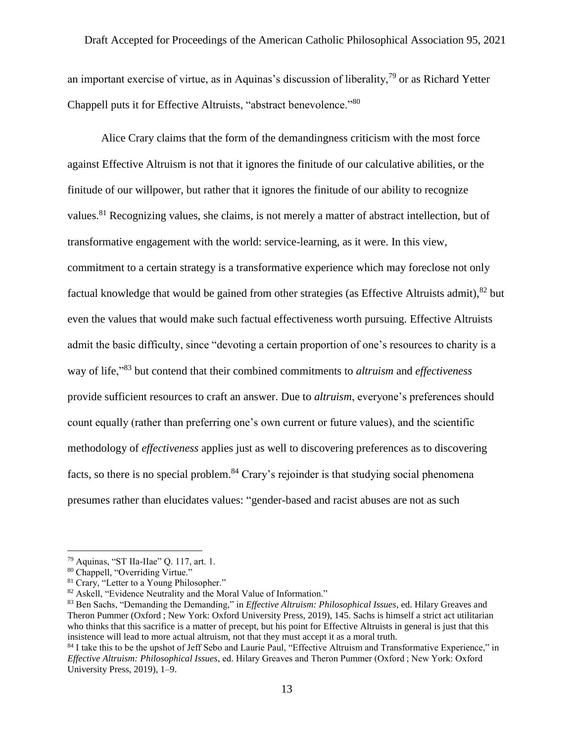an important exercise of virtue, as in Aquinas's discussion of liberality,<sup>79</sup> or as Richard Yetter Chappell puts it for Effective Altruists, "abstract benevolence."<sup>80</sup>

Alice Crary claims that the form of the demandingness criticism with the most force against Effective Altruism is not that it ignores the finitude of our calculative abilities, or the finitude of our willpower, but rather that it ignores the finitude of our ability to recognize values.<sup>81</sup> Recognizing values, she claims, is not merely a matter of abstract intellection, but of transformative engagement with the world: service-learning, as it were. In this view, commitment to a certain strategy is a transformative experience which may foreclose not only factual knowledge that would be gained from other strategies (as Effective Altruists admit),  $82$  but even the values that would make such factual effectiveness worth pursuing. Effective Altruists admit the basic difficulty, since "devoting a certain proportion of one's resources to charity is a way of life,"<sup>83</sup> but contend that their combined commitments to *altruism* and *effectiveness* provide sufficient resources to craft an answer. Due to *altruism*, everyone's preferences should count equally (rather than preferring one's own current or future values), and the scientific methodology of *effectiveness* applies just as well to discovering preferences as to discovering facts, so there is no special problem.<sup>84</sup> Crary's rejoinder is that studying social phenomena presumes rather than elucidates values: "gender-based and racist abuses are not as such

<sup>79</sup> Aquinas, "ST IIa-IIae" Q. 117, art. 1.

<sup>80</sup> Chappell, "Overriding Virtue."

<sup>&</sup>lt;sup>81</sup> Crary, "Letter to a Young Philosopher."

<sup>&</sup>lt;sup>82</sup> Askell, "Evidence Neutrality and the Moral Value of Information."

<sup>83</sup> Ben Sachs, "Demanding the Demanding," in *Effective Altruism: Philosophical Issues*, ed. Hilary Greaves and Theron Pummer (Oxford ; New York: Oxford University Press, 2019), 145. Sachs is himself a strict act utilitarian who thinks that this sacrifice is a matter of precept, but his point for Effective Altruists in general is just that this insistence will lead to more actual altruism, not that they must accept it as a moral truth.

<sup>84</sup> I take this to be the upshot of Jeff Sebo and Laurie Paul, "Effective Altruism and Transformative Experience," in *Effective Altruism: Philosophical Issues*, ed. Hilary Greaves and Theron Pummer (Oxford ; New York: Oxford University Press, 2019), 1–9.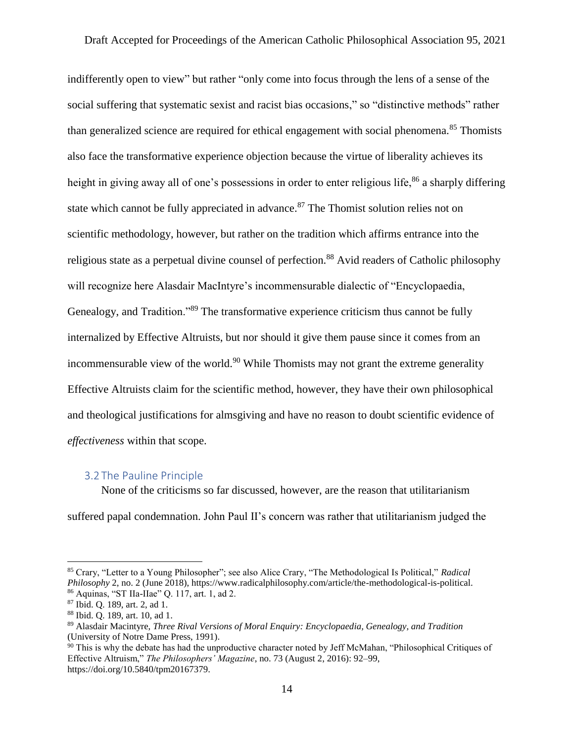indifferently open to view" but rather "only come into focus through the lens of a sense of the social suffering that systematic sexist and racist bias occasions," so "distinctive methods" rather than generalized science are required for ethical engagement with social phenomena.<sup>85</sup> Thomists also face the transformative experience objection because the virtue of liberality achieves its height in giving away all of one's possessions in order to enter religious life,  $86$  a sharply differing state which cannot be fully appreciated in advance. $87$  The Thomist solution relies not on scientific methodology, however, but rather on the tradition which affirms entrance into the religious state as a perpetual divine counsel of perfection.<sup>88</sup> Avid readers of Catholic philosophy will recognize here Alasdair MacIntyre's incommensurable dialectic of "Encyclopaedia, Genealogy, and Tradition."<sup>89</sup> The transformative experience criticism thus cannot be fully internalized by Effective Altruists, but nor should it give them pause since it comes from an incommensurable view of the world.<sup>90</sup> While Thomists may not grant the extreme generality Effective Altruists claim for the scientific method, however, they have their own philosophical and theological justifications for almsgiving and have no reason to doubt scientific evidence of *effectiveness* within that scope.

#### <span id="page-14-0"></span>3.2 The Pauline Principle

None of the criticisms so far discussed, however, are the reason that utilitarianism

suffered papal condemnation. John Paul II's concern was rather that utilitarianism judged the

<sup>85</sup> Crary, "Letter to a Young Philosopher"; see also Alice Crary, "The Methodological Is Political," *Radical Philosophy* 2, no. 2 (June 2018), https://www.radicalphilosophy.com/article/the-methodological-is-political. <sup>86</sup> Aquinas, "ST IIa-IIae" Q. 117, art. 1, ad 2.

<sup>87</sup> Ibid. Q. 189, art. 2, ad 1.

<sup>88</sup> Ibid. Q. 189, art. 10, ad 1.

<sup>89</sup> Alasdair Macintyre, *Three Rival Versions of Moral Enquiry: Encyclopaedia, Genealogy, and Tradition* (University of Notre Dame Press, 1991).

<sup>&</sup>lt;sup>90</sup> This is why the debate has had the unproductive character noted by Jeff McMahan, "Philosophical Critiques of Effective Altruism," *The Philosophers' Magazine*, no. 73 (August 2, 2016): 92–99, https://doi.org/10.5840/tpm20167379.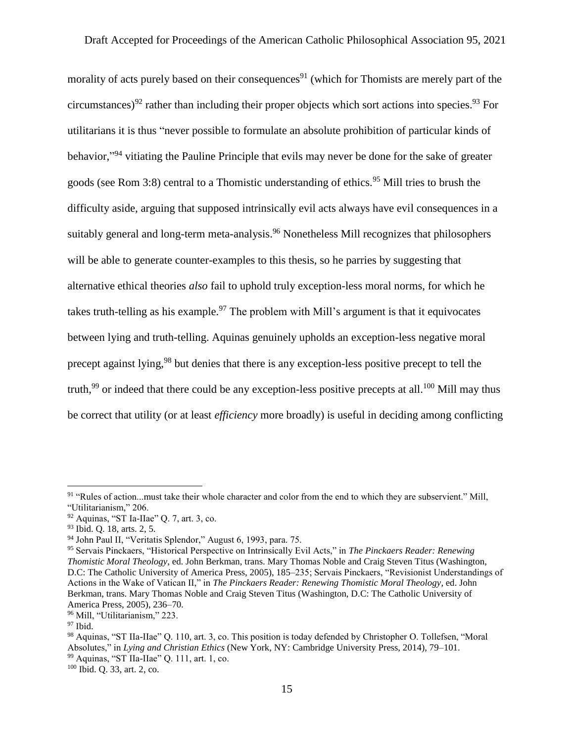morality of acts purely based on their consequences<sup>91</sup> (which for Thomists are merely part of the circumstances)<sup>92</sup> rather than including their proper objects which sort actions into species.<sup>93</sup> For utilitarians it is thus "never possible to formulate an absolute prohibition of particular kinds of behavior,"<sup>94</sup> vitiating the Pauline Principle that evils may never be done for the sake of greater goods (see Rom 3:8) central to a Thomistic understanding of ethics.<sup>95</sup> Mill tries to brush the difficulty aside, arguing that supposed intrinsically evil acts always have evil consequences in a suitably general and long-term meta-analysis.<sup>96</sup> Nonetheless Mill recognizes that philosophers will be able to generate counter-examples to this thesis, so he parries by suggesting that alternative ethical theories *also* fail to uphold truly exception-less moral norms, for which he takes truth-telling as his example.<sup>97</sup> The problem with Mill's argument is that it equivocates between lying and truth-telling. Aquinas genuinely upholds an exception-less negative moral precept against lying,<sup>98</sup> but denies that there is any exception-less positive precept to tell the truth,<sup>99</sup> or indeed that there could be any exception-less positive precepts at all.<sup>100</sup> Mill may thus be correct that utility (or at least *efficiency* more broadly) is useful in deciding among conflicting

<sup>&</sup>lt;sup>91</sup> "Rules of action...must take their whole character and color from the end to which they are subservient." Mill, "Utilitarianism," 206.

 $92$  Aquinas, "ST Ia-IIae" Q. 7, art. 3, co.

<sup>93</sup> Ibid. Q. 18, arts. 2, 5.

<sup>94</sup> John Paul II, "Veritatis Splendor," August 6, 1993, para. 75.

<sup>95</sup> Servais Pinckaers, "Historical Perspective on Intrinsically Evil Acts," in *The Pinckaers Reader: Renewing Thomistic Moral Theology*, ed. John Berkman, trans. Mary Thomas Noble and Craig Steven Titus (Washington, D.C: The Catholic University of America Press, 2005), 185–235; Servais Pinckaers, "Revisionist Understandings of Actions in the Wake of Vatican II," in *The Pinckaers Reader: Renewing Thomistic Moral Theology*, ed. John Berkman, trans. Mary Thomas Noble and Craig Steven Titus (Washington, D.C: The Catholic University of America Press, 2005), 236–70.

<sup>96</sup> Mill, "Utilitarianism," 223.

 $97$  Ibid.

<sup>98</sup> Aquinas, "ST IIa-IIae" Q. 110, art. 3, co. This position is today defended by Christopher O. Tollefsen, "Moral Absolutes," in *Lying and Christian Ethics* (New York, NY: Cambridge University Press, 2014), 79–101. <sup>99</sup> Aquinas, "ST IIa-IIae" Q. 111, art. 1, co.

<sup>100</sup> Ibid. Q. 33, art. 2, co.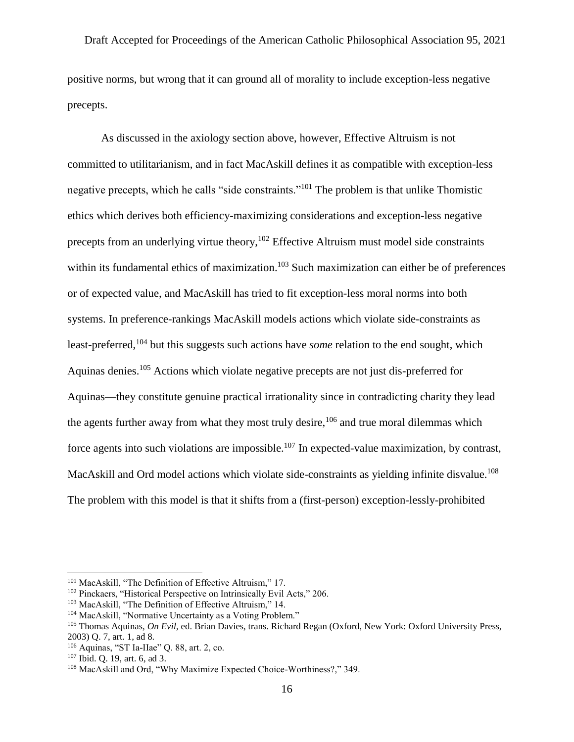positive norms, but wrong that it can ground all of morality to include exception-less negative precepts.

As discussed in the axiology section above, however, Effective Altruism is not committed to utilitarianism, and in fact MacAskill defines it as compatible with exception-less negative precepts, which he calls "side constraints."<sup>101</sup> The problem is that unlike Thomistic ethics which derives both efficiency-maximizing considerations and exception-less negative precepts from an underlying virtue theory,  $102$  Effective Altruism must model side constraints within its fundamental ethics of maximization.<sup>103</sup> Such maximization can either be of preferences or of expected value, and MacAskill has tried to fit exception-less moral norms into both systems. In preference-rankings MacAskill models actions which violate side-constraints as least-preferred,<sup>104</sup> but this suggests such actions have *some* relation to the end sought, which Aquinas denies.<sup>105</sup> Actions which violate negative precepts are not just dis-preferred for Aquinas—they constitute genuine practical irrationality since in contradicting charity they lead the agents further away from what they most truly desire,  $106$  and true moral dilemmas which force agents into such violations are impossible.<sup>107</sup> In expected-value maximization, by contrast, MacAskill and Ord model actions which violate side-constraints as yielding infinite disvalue.<sup>108</sup> The problem with this model is that it shifts from a (first-person) exception-lessly-prohibited

<sup>&</sup>lt;sup>101</sup> MacAskill, "The Definition of Effective Altruism," 17.

<sup>102</sup> Pinckaers, "Historical Perspective on Intrinsically Evil Acts," 206.

<sup>103</sup> MacAskill, "The Definition of Effective Altruism," 14.

<sup>104</sup> MacAskill, "Normative Uncertainty as a Voting Problem."

<sup>105</sup> Thomas Aquinas, *On Evil*, ed. Brian Davies, trans. Richard Regan (Oxford, New York: Oxford University Press, 2003) Q. 7, art. 1, ad 8.

<sup>106</sup> Aquinas, "ST Ia-IIae" Q. 88, art. 2, co.

<sup>107</sup> Ibid. Q. 19, art. 6, ad 3.

<sup>108</sup> MacAskill and Ord, "Why Maximize Expected Choice-Worthiness?," 349.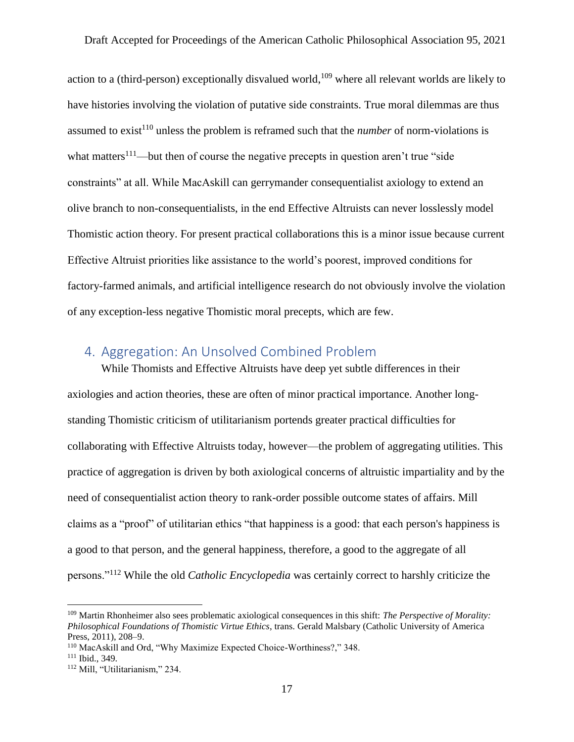action to a (third-person) exceptionally disvalued world, <sup>109</sup> where all relevant worlds are likely to have histories involving the violation of putative side constraints. True moral dilemmas are thus assumed to exist<sup>110</sup> unless the problem is reframed such that the *number* of norm-violations is what matters<sup>111</sup>—but then of course the negative precepts in question aren't true "side" constraints" at all. While MacAskill can gerrymander consequentialist axiology to extend an olive branch to non-consequentialists, in the end Effective Altruists can never losslessly model Thomistic action theory. For present practical collaborations this is a minor issue because current Effective Altruist priorities like assistance to the world's poorest, improved conditions for factory-farmed animals, and artificial intelligence research do not obviously involve the violation of any exception-less negative Thomistic moral precepts, which are few.

## <span id="page-17-0"></span>4. Aggregation: An Unsolved Combined Problem

While Thomists and Effective Altruists have deep yet subtle differences in their axiologies and action theories, these are often of minor practical importance. Another longstanding Thomistic criticism of utilitarianism portends greater practical difficulties for collaborating with Effective Altruists today, however—the problem of aggregating utilities. This practice of aggregation is driven by both axiological concerns of altruistic impartiality and by the need of consequentialist action theory to rank-order possible outcome states of affairs. Mill claims as a "proof" of utilitarian ethics "that happiness is a good: that each person's happiness is a good to that person, and the general happiness, therefore, a good to the aggregate of all persons."<sup>112</sup> While the old *Catholic Encyclopedia* was certainly correct to harshly criticize the

<sup>109</sup> Martin Rhonheimer also sees problematic axiological consequences in this shift: *The Perspective of Morality: Philosophical Foundations of Thomistic Virtue Ethics*, trans. Gerald Malsbary (Catholic University of America Press, 2011), 208–9.

<sup>110</sup> MacAskill and Ord, "Why Maximize Expected Choice-Worthiness?," 348.

<sup>111</sup> Ibid., 349.

<sup>112</sup> Mill, "Utilitarianism," 234.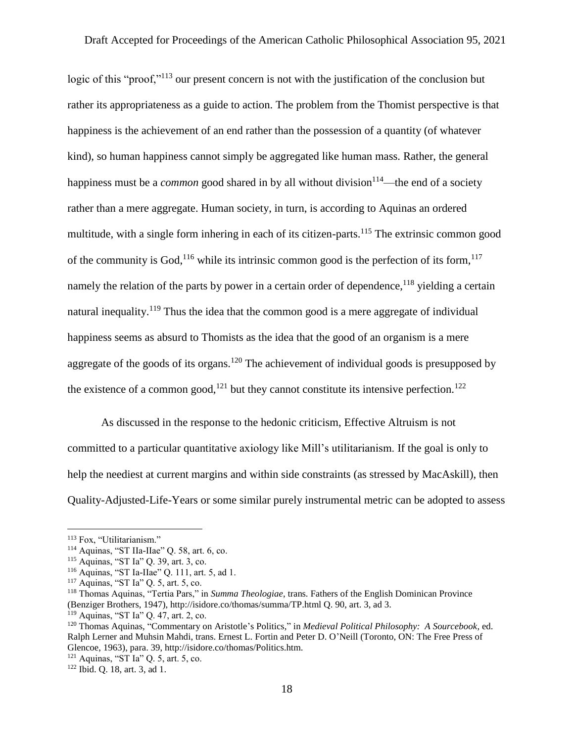logic of this "proof,"<sup>113</sup> our present concern is not with the justification of the conclusion but rather its appropriateness as a guide to action. The problem from the Thomist perspective is that happiness is the achievement of an end rather than the possession of a quantity (of whatever kind), so human happiness cannot simply be aggregated like human mass. Rather, the general happiness must be a *common* good shared in by all without division<sup>114</sup>—the end of a society rather than a mere aggregate. Human society, in turn, is according to Aquinas an ordered multitude, with a single form inhering in each of its citizen-parts.<sup>115</sup> The extrinsic common good of the community is God,<sup>116</sup> while its intrinsic common good is the perfection of its form,  $117$ namely the relation of the parts by power in a certain order of dependence, <sup>118</sup> yielding a certain natural inequality.<sup>119</sup> Thus the idea that the common good is a mere aggregate of individual happiness seems as absurd to Thomists as the idea that the good of an organism is a mere aggregate of the goods of its organs.<sup>120</sup> The achievement of individual goods is presupposed by the existence of a common good,<sup>121</sup> but they cannot constitute its intensive perfection.<sup>122</sup>

As discussed in the response to the hedonic criticism, Effective Altruism is not committed to a particular quantitative axiology like Mill's utilitarianism. If the goal is only to help the neediest at current margins and within side constraints (as stressed by MacAskill), then Quality-Adjusted-Life-Years or some similar purely instrumental metric can be adopted to assess

<sup>&</sup>lt;sup>113</sup> Fox, "Utilitarianism."

<sup>114</sup> Aquinas, "ST IIa-IIae" Q. 58, art. 6, co.

<sup>115</sup> Aquinas, "ST Ia" Q. 39, art. 3, co.

<sup>116</sup> Aquinas, "ST Ia-IIae" Q. 111, art. 5, ad 1.

<sup>117</sup> Aquinas, "ST Ia" Q. 5, art. 5, co.

<sup>118</sup> Thomas Aquinas, "Tertia Pars," in *Summa Theologiae*, trans. Fathers of the English Dominican Province (Benziger Brothers, 1947), http://isidore.co/thomas/summa/TP.html Q. 90, art. 3, ad 3.

<sup>119</sup> Aquinas, "ST Ia" Q. 47, art. 2, co.

<sup>120</sup> Thomas Aquinas, "Commentary on Aristotle's Politics," in *Medieval Political Philosophy: A Sourcebook*, ed. Ralph Lerner and Muhsin Mahdi, trans. Ernest L. Fortin and Peter D. O'Neill (Toronto, ON: The Free Press of Glencoe, 1963), para. 39, http://isidore.co/thomas/Politics.htm.

<sup>121</sup> Aquinas, "ST Ia" Q. 5, art. 5, co.

<sup>122</sup> Ibid. Q. 18, art. 3, ad 1.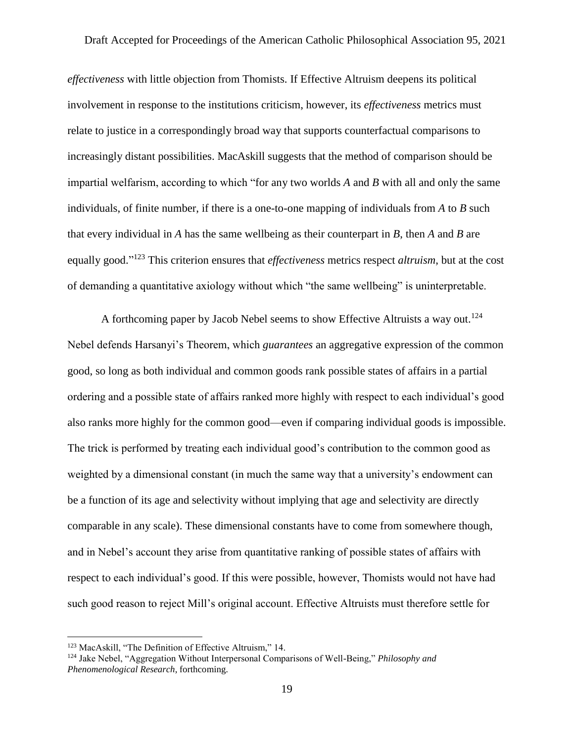*effectiveness* with little objection from Thomists. If Effective Altruism deepens its political involvement in response to the institutions criticism, however, its *effectiveness* metrics must relate to justice in a correspondingly broad way that supports counterfactual comparisons to increasingly distant possibilities. MacAskill suggests that the method of comparison should be impartial welfarism, according to which "for any two worlds *A* and *B* with all and only the same individuals, of finite number, if there is a one-to-one mapping of individuals from *A* to *B* such that every individual in *A* has the same wellbeing as their counterpart in *B*, then *A* and *B* are equally good." <sup>123</sup> This criterion ensures that *effectiveness* metrics respect *altruism*, but at the cost of demanding a quantitative axiology without which "the same wellbeing" is uninterpretable.

A forthcoming paper by Jacob Nebel seems to show Effective Altruists a way out.<sup>124</sup> Nebel defends Harsanyi's Theorem, which *guarantees* an aggregative expression of the common good, so long as both individual and common goods rank possible states of affairs in a partial ordering and a possible state of affairs ranked more highly with respect to each individual's good also ranks more highly for the common good—even if comparing individual goods is impossible. The trick is performed by treating each individual good's contribution to the common good as weighted by a dimensional constant (in much the same way that a university's endowment can be a function of its age and selectivity without implying that age and selectivity are directly comparable in any scale). These dimensional constants have to come from somewhere though, and in Nebel's account they arise from quantitative ranking of possible states of affairs with respect to each individual's good. If this were possible, however, Thomists would not have had such good reason to reject Mill's original account. Effective Altruists must therefore settle for

<sup>123</sup> MacAskill, "The Definition of Effective Altruism," 14.

<sup>124</sup> Jake Nebel, "Aggregation Without Interpersonal Comparisons of Well-Being," *Philosophy and Phenomenological Research*, forthcoming.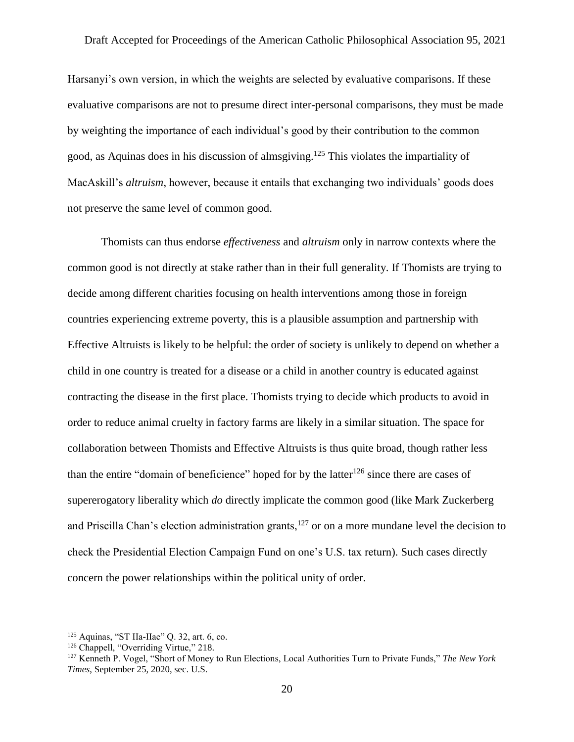Harsanyi's own version, in which the weights are selected by evaluative comparisons. If these evaluative comparisons are not to presume direct inter-personal comparisons, they must be made by weighting the importance of each individual's good by their contribution to the common good, as Aquinas does in his discussion of almsgiving.<sup>125</sup> This violates the impartiality of MacAskill's *altruism*, however, because it entails that exchanging two individuals' goods does not preserve the same level of common good.

Thomists can thus endorse *effectiveness* and *altruism* only in narrow contexts where the common good is not directly at stake rather than in their full generality. If Thomists are trying to decide among different charities focusing on health interventions among those in foreign countries experiencing extreme poverty, this is a plausible assumption and partnership with Effective Altruists is likely to be helpful: the order of society is unlikely to depend on whether a child in one country is treated for a disease or a child in another country is educated against contracting the disease in the first place. Thomists trying to decide which products to avoid in order to reduce animal cruelty in factory farms are likely in a similar situation. The space for collaboration between Thomists and Effective Altruists is thus quite broad, though rather less than the entire "domain of beneficience" hoped for by the latter<sup>126</sup> since there are cases of supererogatory liberality which *do* directly implicate the common good (like Mark Zuckerberg and Priscilla Chan's election administration grants, $127$  or on a more mundane level the decision to check the Presidential Election Campaign Fund on one's U.S. tax return). Such cases directly concern the power relationships within the political unity of order.

 $125$  Aquinas, "ST IIa-IIae" Q. 32, art. 6, co.

<sup>126</sup> Chappell, "Overriding Virtue," 218.

<sup>127</sup> Kenneth P. Vogel, "Short of Money to Run Elections, Local Authorities Turn to Private Funds," *The New York Times*, September 25, 2020, sec. U.S.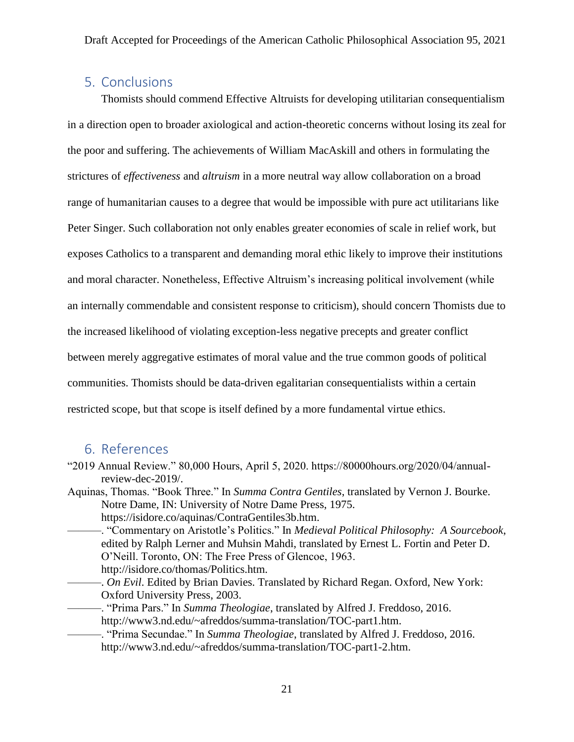### <span id="page-21-0"></span>5. Conclusions

Thomists should commend Effective Altruists for developing utilitarian consequentialism in a direction open to broader axiological and action-theoretic concerns without losing its zeal for the poor and suffering. The achievements of William MacAskill and others in formulating the strictures of *effectiveness* and *altruism* in a more neutral way allow collaboration on a broad range of humanitarian causes to a degree that would be impossible with pure act utilitarians like Peter Singer. Such collaboration not only enables greater economies of scale in relief work, but exposes Catholics to a transparent and demanding moral ethic likely to improve their institutions and moral character. Nonetheless, Effective Altruism's increasing political involvement (while an internally commendable and consistent response to criticism), should concern Thomists due to the increased likelihood of violating exception-less negative precepts and greater conflict between merely aggregative estimates of moral value and the true common goods of political communities. Thomists should be data-driven egalitarian consequentialists within a certain restricted scope, but that scope is itself defined by a more fundamental virtue ethics.

#### <span id="page-21-1"></span>6. References

- "2019 Annual Review." 80,000 Hours, April 5, 2020. https://80000hours.org/2020/04/annualreview-dec-2019/.
- Aquinas, Thomas. "Book Three." In *Summa Contra Gentiles*, translated by Vernon J. Bourke. Notre Dame, IN: University of Notre Dame Press, 1975. https://isidore.co/aquinas/ContraGentiles3b.htm.
	- ———. "Commentary on Aristotle's Politics." In *Medieval Political Philosophy: A Sourcebook*, edited by Ralph Lerner and Muhsin Mahdi, translated by Ernest L. Fortin and Peter D. O'Neill. Toronto, ON: The Free Press of Glencoe, 1963. http://isidore.co/thomas/Politics.htm.
		- ———. *On Evil*. Edited by Brian Davies. Translated by Richard Regan. Oxford, New York: Oxford University Press, 2003.
		- ———. "Prima Pars." In *Summa Theologiae*, translated by Alfred J. Freddoso, 2016. http://www3.nd.edu/~afreddos/summa-translation/TOC-part1.htm.
	- ———. "Prima Secundae." In *Summa Theologiae*, translated by Alfred J. Freddoso, 2016. http://www3.nd.edu/~afreddos/summa-translation/TOC-part1-2.htm.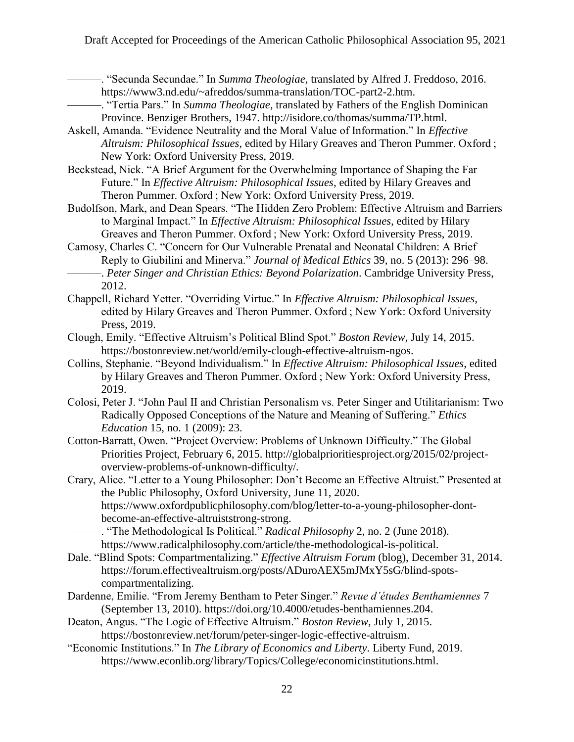———. "Secunda Secundae." In *Summa Theologiae*, translated by Alfred J. Freddoso, 2016. https://www3.nd.edu/~afreddos/summa-translation/TOC-part2-2.htm.

- ———. "Tertia Pars." In *Summa Theologiae*, translated by Fathers of the English Dominican Province. Benziger Brothers, 1947. http://isidore.co/thomas/summa/TP.html.
- Askell, Amanda. "Evidence Neutrality and the Moral Value of Information." In *Effective Altruism: Philosophical Issues*, edited by Hilary Greaves and Theron Pummer. Oxford ; New York: Oxford University Press, 2019.
- Beckstead, Nick. "A Brief Argument for the Overwhelming Importance of Shaping the Far Future." In *Effective Altruism: Philosophical Issues*, edited by Hilary Greaves and Theron Pummer. Oxford ; New York: Oxford University Press, 2019.
- Budolfson, Mark, and Dean Spears. "The Hidden Zero Problem: Effective Altruism and Barriers to Marginal Impact." In *Effective Altruism: Philosophical Issues*, edited by Hilary Greaves and Theron Pummer. Oxford ; New York: Oxford University Press, 2019.
- Camosy, Charles C. "Concern for Our Vulnerable Prenatal and Neonatal Children: A Brief Reply to Giubilini and Minerva." *Journal of Medical Ethics* 39, no. 5 (2013): 296–98. ———. *Peter Singer and Christian Ethics: Beyond Polarization*. Cambridge University Press, 2012.
- Chappell, Richard Yetter. "Overriding Virtue." In *Effective Altruism: Philosophical Issues*, edited by Hilary Greaves and Theron Pummer. Oxford ; New York: Oxford University Press, 2019.
- Clough, Emily. "Effective Altruism's Political Blind Spot." *Boston Review*, July 14, 2015. https://bostonreview.net/world/emily-clough-effective-altruism-ngos.
- Collins, Stephanie. "Beyond Individualism." In *Effective Altruism: Philosophical Issues*, edited by Hilary Greaves and Theron Pummer. Oxford ; New York: Oxford University Press, 2019.
- Colosi, Peter J. "John Paul II and Christian Personalism vs. Peter Singer and Utilitarianism: Two Radically Opposed Conceptions of the Nature and Meaning of Suffering." *Ethics Education* 15, no. 1 (2009): 23.
- Cotton-Barratt, Owen. "Project Overview: Problems of Unknown Difficulty." The Global Priorities Project, February 6, 2015. http://globalprioritiesproject.org/2015/02/projectoverview-problems-of-unknown-difficulty/.

Crary, Alice. "Letter to a Young Philosopher: Don't Become an Effective Altruist." Presented at the Public Philosophy, Oxford University, June 11, 2020. https://www.oxfordpublicphilosophy.com/blog/letter-to-a-young-philosopher-dontbecome-an-effective-altruiststrong-strong.

———. "The Methodological Is Political." *Radical Philosophy* 2, no. 2 (June 2018). https://www.radicalphilosophy.com/article/the-methodological-is-political.

- Dale. "Blind Spots: Compartmentalizing." *Effective Altruism Forum* (blog), December 31, 2014. https://forum.effectivealtruism.org/posts/ADuroAEX5mJMxY5sG/blind-spotscompartmentalizing.
- Dardenne, Emilie. "From Jeremy Bentham to Peter Singer." *Revue d'études Benthamiennes* 7 (September 13, 2010). https://doi.org/10.4000/etudes-benthamiennes.204.
- Deaton, Angus. "The Logic of Effective Altruism." *Boston Review*, July 1, 2015. https://bostonreview.net/forum/peter-singer-logic-effective-altruism.
- "Economic Institutions." In *The Library of Economics and Liberty*. Liberty Fund, 2019. https://www.econlib.org/library/Topics/College/economicinstitutions.html.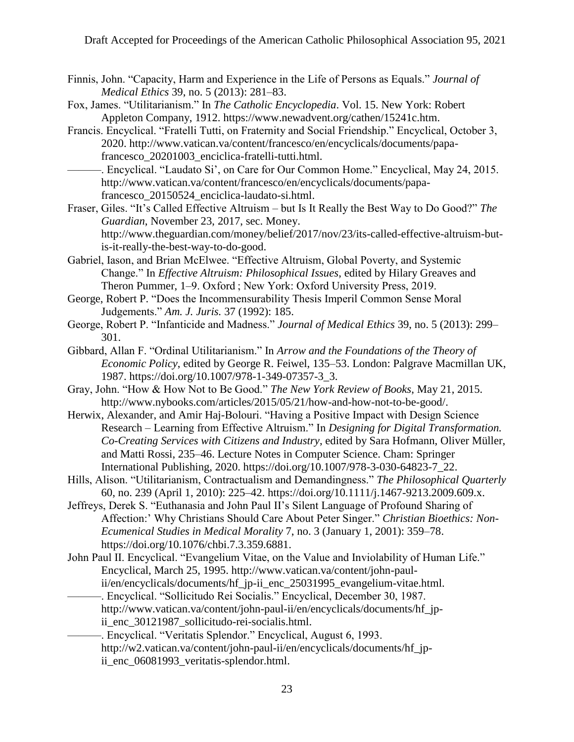- Finnis, John. "Capacity, Harm and Experience in the Life of Persons as Equals." *Journal of Medical Ethics* 39, no. 5 (2013): 281–83.
- Fox, James. "Utilitarianism." In *The Catholic Encyclopedia*. Vol. 15. New York: Robert Appleton Company, 1912. https://www.newadvent.org/cathen/15241c.htm.
- Francis. Encyclical. "Fratelli Tutti, on Fraternity and Social Friendship." Encyclical, October 3, 2020. http://www.vatican.va/content/francesco/en/encyclicals/documents/papafrancesco\_20201003\_enciclica-fratelli-tutti.html.
- ———. Encyclical. "Laudato Si', on Care for Our Common Home." Encyclical, May 24, 2015. http://www.vatican.va/content/francesco/en/encyclicals/documents/papafrancesco\_20150524\_enciclica-laudato-si.html.
- Fraser, Giles. "It's Called Effective Altruism but Is It Really the Best Way to Do Good?" *The Guardian*, November 23, 2017, sec. Money. http://www.theguardian.com/money/belief/2017/nov/23/its-called-effective-altruism-butis-it-really-the-best-way-to-do-good.
- Gabriel, Iason, and Brian McElwee. "Effective Altruism, Global Poverty, and Systemic Change." In *Effective Altruism: Philosophical Issues*, edited by Hilary Greaves and Theron Pummer, 1–9. Oxford ; New York: Oxford University Press, 2019.
- George, Robert P. "Does the Incommensurability Thesis Imperil Common Sense Moral Judgements." *Am. J. Juris.* 37 (1992): 185.
- George, Robert P. "Infanticide and Madness." *Journal of Medical Ethics* 39, no. 5 (2013): 299– 301.
- Gibbard, Allan F. "Ordinal Utilitarianism." In *Arrow and the Foundations of the Theory of Economic Policy*, edited by George R. Feiwel, 135–53. London: Palgrave Macmillan UK, 1987. https://doi.org/10.1007/978-1-349-07357-3\_3.
- Gray, John. "How & How Not to Be Good." *The New York Review of Books*, May 21, 2015. http://www.nybooks.com/articles/2015/05/21/how-and-how-not-to-be-good/.
- Herwix, Alexander, and Amir Haj-Bolouri. "Having a Positive Impact with Design Science Research – Learning from Effective Altruism." In *Designing for Digital Transformation. Co-Creating Services with Citizens and Industry*, edited by Sara Hofmann, Oliver Müller, and Matti Rossi, 235–46. Lecture Notes in Computer Science. Cham: Springer International Publishing, 2020. https://doi.org/10.1007/978-3-030-64823-7\_22.
- Hills, Alison. "Utilitarianism, Contractualism and Demandingness." *The Philosophical Quarterly* 60, no. 239 (April 1, 2010): 225–42. https://doi.org/10.1111/j.1467-9213.2009.609.x.
- Jeffreys, Derek S. "Euthanasia and John Paul II's Silent Language of Profound Sharing of Affection:' Why Christians Should Care About Peter Singer." *Christian Bioethics: Non-Ecumenical Studies in Medical Morality* 7, no. 3 (January 1, 2001): 359–78. https://doi.org/10.1076/chbi.7.3.359.6881.
- John Paul II. Encyclical. "Evangelium Vitae, on the Value and Inviolability of Human Life." Encyclical, March 25, 1995. http://www.vatican.va/content/john-paulii/en/encyclicals/documents/hf\_jp-ii\_enc\_25031995\_evangelium-vitae.html.
- ———. Encyclical. "Sollicitudo Rei Socialis." Encyclical, December 30, 1987. http://www.vatican.va/content/john-paul-ii/en/encyclicals/documents/hf\_jpii\_enc\_30121987\_sollicitudo-rei-socialis.html.
- -. Encyclical. "Veritatis Splendor." Encyclical, August 6, 1993. http://w2.vatican.va/content/john-paul-ii/en/encyclicals/documents/hf\_jpii\_enc\_06081993\_veritatis-splendor.html.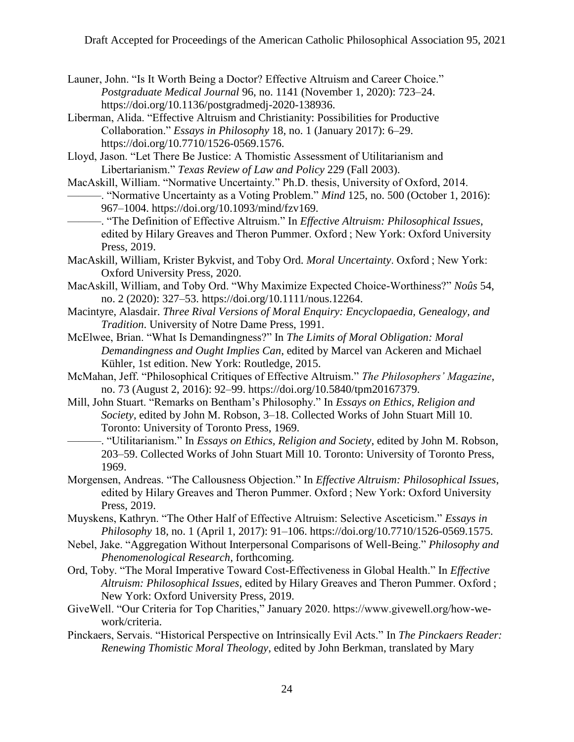- Launer, John. "Is It Worth Being a Doctor? Effective Altruism and Career Choice." *Postgraduate Medical Journal* 96, no. 1141 (November 1, 2020): 723–24. https://doi.org/10.1136/postgradmedj-2020-138936.
- Liberman, Alida. "Effective Altruism and Christianity: Possibilities for Productive Collaboration." *Essays in Philosophy* 18, no. 1 (January 2017): 6–29. https://doi.org/10.7710/1526-0569.1576.
- Lloyd, Jason. "Let There Be Justice: A Thomistic Assessment of Utilitarianism and Libertarianism." *Texas Review of Law and Policy* 229 (Fall 2003).
- MacAskill, William. "Normative Uncertainty." Ph.D. thesis, University of Oxford, 2014. ———. "Normative Uncertainty as a Voting Problem." *Mind* 125, no. 500 (October 1, 2016): 967–1004. https://doi.org/10.1093/mind/fzv169.
	- ———. "The Definition of Effective Altruism." In *Effective Altruism: Philosophical Issues*, edited by Hilary Greaves and Theron Pummer. Oxford ; New York: Oxford University Press, 2019.
- MacAskill, William, Krister Bykvist, and Toby Ord. *Moral Uncertainty*. Oxford ; New York: Oxford University Press, 2020.
- MacAskill, William, and Toby Ord. "Why Maximize Expected Choice-Worthiness?" *Noûs* 54, no. 2 (2020): 327–53. https://doi.org/10.1111/nous.12264.
- Macintyre, Alasdair. *Three Rival Versions of Moral Enquiry: Encyclopaedia, Genealogy, and Tradition*. University of Notre Dame Press, 1991.
- McElwee, Brian. "What Is Demandingness?" In *The Limits of Moral Obligation: Moral Demandingness and Ought Implies Can*, edited by Marcel van Ackeren and Michael Kühler, 1st edition. New York: Routledge, 2015.
- McMahan, Jeff. "Philosophical Critiques of Effective Altruism." *The Philosophers' Magazine*, no. 73 (August 2, 2016): 92–99. https://doi.org/10.5840/tpm20167379.
- Mill, John Stuart. "Remarks on Bentham's Philosophy." In *Essays on Ethics, Religion and Society*, edited by John M. Robson, 3–18. Collected Works of John Stuart Mill 10. Toronto: University of Toronto Press, 1969.
- ———. "Utilitarianism." In *Essays on Ethics, Religion and Society*, edited by John M. Robson, 203–59. Collected Works of John Stuart Mill 10. Toronto: University of Toronto Press, 1969.
- Morgensen, Andreas. "The Callousness Objection." In *Effective Altruism: Philosophical Issues*, edited by Hilary Greaves and Theron Pummer. Oxford ; New York: Oxford University Press, 2019.
- Muyskens, Kathryn. "The Other Half of Effective Altruism: Selective Asceticism." *Essays in Philosophy* 18, no. 1 (April 1, 2017): 91–106. https://doi.org/10.7710/1526-0569.1575.
- Nebel, Jake. "Aggregation Without Interpersonal Comparisons of Well-Being." *Philosophy and Phenomenological Research*, forthcoming.
- Ord, Toby. "The Moral Imperative Toward Cost-Effectiveness in Global Health." In *Effective Altruism: Philosophical Issues*, edited by Hilary Greaves and Theron Pummer. Oxford ; New York: Oxford University Press, 2019.
- GiveWell. "Our Criteria for Top Charities," January 2020. https://www.givewell.org/how-wework/criteria.
- Pinckaers, Servais. "Historical Perspective on Intrinsically Evil Acts." In *The Pinckaers Reader: Renewing Thomistic Moral Theology*, edited by John Berkman, translated by Mary